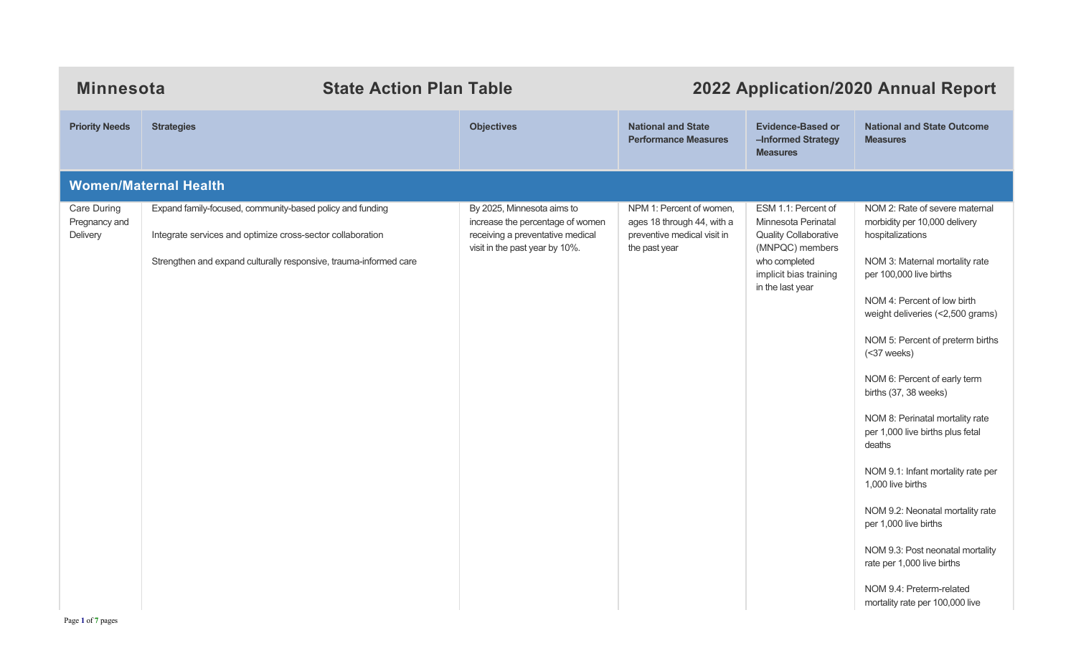| <b>Minnesota</b><br><b>State Action Plan Table</b> |                                                                                                                                                                                              |                                                                                                                                      | 2022 Application/2020 Annual Report                                                                    |                                                                                                                                                              |                                                                                                                                                                                                                                                                                                                                                                                                                                                                                                                                                                                                                                                                           |  |  |  |
|----------------------------------------------------|----------------------------------------------------------------------------------------------------------------------------------------------------------------------------------------------|--------------------------------------------------------------------------------------------------------------------------------------|--------------------------------------------------------------------------------------------------------|--------------------------------------------------------------------------------------------------------------------------------------------------------------|---------------------------------------------------------------------------------------------------------------------------------------------------------------------------------------------------------------------------------------------------------------------------------------------------------------------------------------------------------------------------------------------------------------------------------------------------------------------------------------------------------------------------------------------------------------------------------------------------------------------------------------------------------------------------|--|--|--|
| <b>Priority Needs</b>                              | <b>Strategies</b>                                                                                                                                                                            | <b>Objectives</b>                                                                                                                    | <b>National and State</b><br><b>Performance Measures</b>                                               | <b>Evidence-Based or</b><br>-Informed Strategy<br><b>Measures</b>                                                                                            | <b>National and State Outcome</b><br><b>Measures</b>                                                                                                                                                                                                                                                                                                                                                                                                                                                                                                                                                                                                                      |  |  |  |
|                                                    | <b>Women/Maternal Health</b>                                                                                                                                                                 |                                                                                                                                      |                                                                                                        |                                                                                                                                                              |                                                                                                                                                                                                                                                                                                                                                                                                                                                                                                                                                                                                                                                                           |  |  |  |
| Care During<br>Pregnancy and<br>Delivery           | Expand family-focused, community-based policy and funding<br>Integrate services and optimize cross-sector collaboration<br>Strengthen and expand culturally responsive, trauma-informed care | By 2025, Minnesota aims to<br>increase the percentage of women<br>receiving a preventative medical<br>visit in the past year by 10%. | NPM 1: Percent of women,<br>ages 18 through 44, with a<br>preventive medical visit in<br>the past year | ESM 1.1: Percent of<br>Minnesota Perinatal<br><b>Quality Collaborative</b><br>(MNPQC) members<br>who completed<br>implicit bias training<br>in the last year | NOM 2: Rate of severe maternal<br>morbidity per 10,000 delivery<br>hospitalizations<br>NOM 3: Maternal mortality rate<br>per 100,000 live births<br>NOM 4: Percent of low birth<br>weight deliveries (<2,500 grams)<br>NOM 5: Percent of preterm births<br>(<37 weeks)<br>NOM 6: Percent of early term<br>births (37, 38 weeks)<br>NOM 8: Perinatal mortality rate<br>per 1,000 live births plus fetal<br>deaths<br>NOM 9.1: Infant mortality rate per<br>1,000 live births<br>NOM 9.2: Neonatal mortality rate<br>per 1,000 live births<br>NOM 9.3: Post neonatal mortality<br>rate per 1,000 live births<br>NOM 9.4: Preterm-related<br>mortality rate per 100,000 live |  |  |  |
| Page 1 of 7 pages                                  |                                                                                                                                                                                              |                                                                                                                                      |                                                                                                        |                                                                                                                                                              |                                                                                                                                                                                                                                                                                                                                                                                                                                                                                                                                                                                                                                                                           |  |  |  |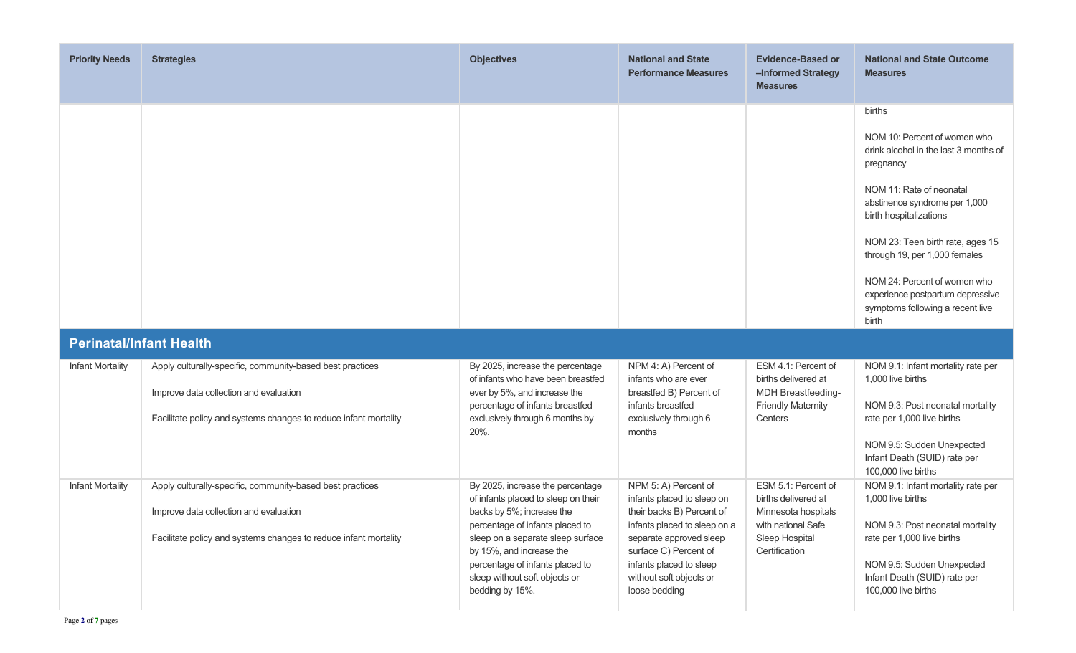| <b>Priority Needs</b>   | <b>Strategies</b>                                                                                                                                                       | <b>Objectives</b>                                                                                                                                                                                                                                                                               | <b>National and State</b><br><b>Performance Measures</b>                                                                                                                                                                                   | <b>Evidence-Based or</b><br>-Informed Strategy<br><b>Measures</b>                                                          | <b>National and State Outcome</b><br><b>Measures</b>                                                                                                                                                                                                                                                                                                                      |
|-------------------------|-------------------------------------------------------------------------------------------------------------------------------------------------------------------------|-------------------------------------------------------------------------------------------------------------------------------------------------------------------------------------------------------------------------------------------------------------------------------------------------|--------------------------------------------------------------------------------------------------------------------------------------------------------------------------------------------------------------------------------------------|----------------------------------------------------------------------------------------------------------------------------|---------------------------------------------------------------------------------------------------------------------------------------------------------------------------------------------------------------------------------------------------------------------------------------------------------------------------------------------------------------------------|
|                         |                                                                                                                                                                         |                                                                                                                                                                                                                                                                                                 |                                                                                                                                                                                                                                            |                                                                                                                            | births<br>NOM 10: Percent of women who<br>drink alcohol in the last 3 months of<br>pregnancy<br>NOM 11: Rate of neonatal<br>abstinence syndrome per 1,000<br>birth hospitalizations<br>NOM 23: Teen birth rate, ages 15<br>through 19, per 1,000 females<br>NOM 24: Percent of women who<br>experience postpartum depressive<br>symptoms following a recent live<br>birth |
|                         | <b>Perinatal/Infant Health</b>                                                                                                                                          |                                                                                                                                                                                                                                                                                                 |                                                                                                                                                                                                                                            |                                                                                                                            |                                                                                                                                                                                                                                                                                                                                                                           |
| <b>Infant Mortality</b> | Apply culturally-specific, community-based best practices<br>Improve data collection and evaluation<br>Facilitate policy and systems changes to reduce infant mortality | By 2025, increase the percentage<br>of infants who have been breastfed<br>ever by 5%, and increase the<br>percentage of infants breastfed<br>exclusively through 6 months by<br>20%.                                                                                                            | NPM 4: A) Percent of<br>infants who are ever<br>breastfed B) Percent of<br>infants breastfed<br>exclusively through 6<br>months                                                                                                            | ESM 4.1: Percent of<br>births delivered at<br>MDH Breastfeeding-<br><b>Friendly Maternity</b><br>Centers                   | NOM 9.1: Infant mortality rate per<br>1,000 live births<br>NOM 9.3: Post neonatal mortality<br>rate per 1,000 live births<br>NOM 9.5: Sudden Unexpected<br>Infant Death (SUID) rate per<br>100,000 live births                                                                                                                                                            |
| <b>Infant Mortality</b> | Apply culturally-specific, community-based best practices<br>Improve data collection and evaluation<br>Facilitate policy and systems changes to reduce infant mortality | By 2025, increase the percentage<br>of infants placed to sleep on their<br>backs by 5%; increase the<br>percentage of infants placed to<br>sleep on a separate sleep surface<br>by 15%, and increase the<br>percentage of infants placed to<br>sleep without soft objects or<br>bedding by 15%. | NPM 5: A) Percent of<br>infants placed to sleep on<br>their backs B) Percent of<br>infants placed to sleep on a<br>separate approved sleep<br>surface C) Percent of<br>infants placed to sleep<br>without soft objects or<br>loose bedding | ESM 5.1: Percent of<br>births delivered at<br>Minnesota hospitals<br>with national Safe<br>Sleep Hospital<br>Certification | NOM 9.1: Infant mortality rate per<br>1,000 live births<br>NOM 9.3: Post neonatal mortality<br>rate per 1,000 live births<br>NOM 9.5: Sudden Unexpected<br>Infant Death (SUID) rate per<br>100,000 live births                                                                                                                                                            |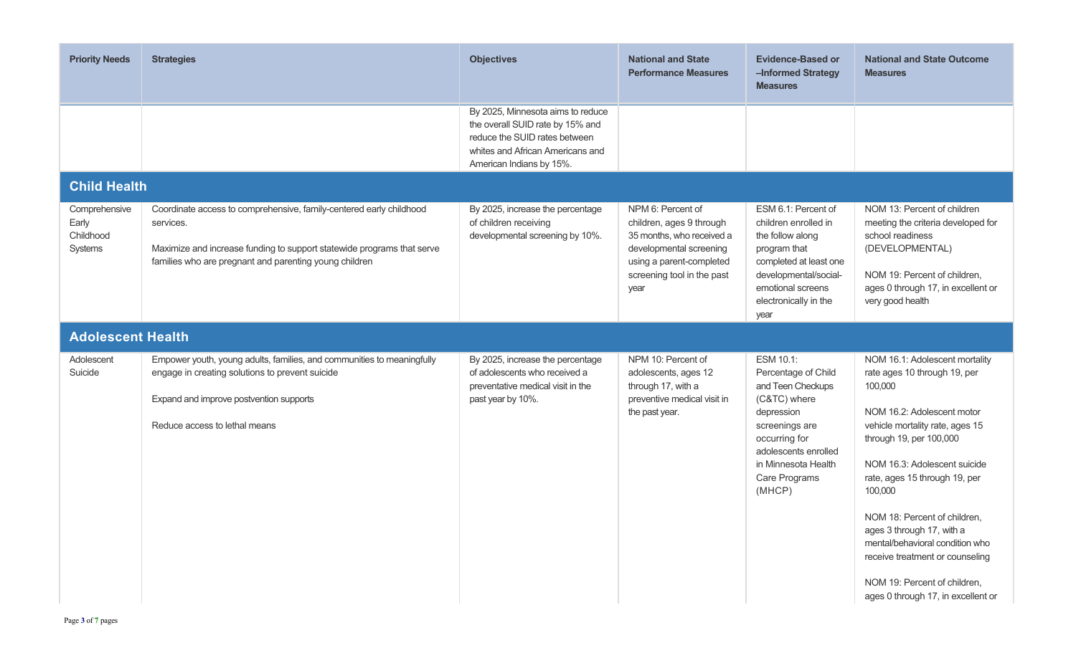| <b>Priority Needs</b>                          | <b>Strategies</b>                                                                                                                                                                                                    | <b>Objectives</b>                                                                                                                                                      | <b>National and State</b><br><b>Performance Measures</b>                                                                                                                | <b>Evidence-Based or</b><br>-Informed Strategy<br><b>Measures</b>                                                                                                                                | <b>National and State Outcome</b><br><b>Measures</b>                                                                                                                                                                                                                                                                                                                                                                                                       |  |  |
|------------------------------------------------|----------------------------------------------------------------------------------------------------------------------------------------------------------------------------------------------------------------------|------------------------------------------------------------------------------------------------------------------------------------------------------------------------|-------------------------------------------------------------------------------------------------------------------------------------------------------------------------|--------------------------------------------------------------------------------------------------------------------------------------------------------------------------------------------------|------------------------------------------------------------------------------------------------------------------------------------------------------------------------------------------------------------------------------------------------------------------------------------------------------------------------------------------------------------------------------------------------------------------------------------------------------------|--|--|
|                                                |                                                                                                                                                                                                                      | By 2025, Minnesota aims to reduce<br>the overall SUID rate by 15% and<br>reduce the SUID rates between<br>whites and African Americans and<br>American Indians by 15%. |                                                                                                                                                                         |                                                                                                                                                                                                  |                                                                                                                                                                                                                                                                                                                                                                                                                                                            |  |  |
| <b>Child Health</b>                            |                                                                                                                                                                                                                      |                                                                                                                                                                        |                                                                                                                                                                         |                                                                                                                                                                                                  |                                                                                                                                                                                                                                                                                                                                                                                                                                                            |  |  |
| Comprehensive<br>Early<br>Childhood<br>Systems | Coordinate access to comprehensive, family-centered early childhood<br>services.<br>Maximize and increase funding to support statewide programs that serve<br>families who are pregnant and parenting young children | By 2025, increase the percentage<br>of children receiving<br>developmental screening by 10%.                                                                           | NPM 6: Percent of<br>children, ages 9 through<br>35 months, who received a<br>developmental screening<br>using a parent-completed<br>screening tool in the past<br>year | ESM 6.1: Percent of<br>children enrolled in<br>the follow along<br>program that<br>completed at least one<br>developmental/social-<br>emotional screens<br>electronically in the<br>year         | NOM 13: Percent of children<br>meeting the criteria developed for<br>school readiness<br>(DEVELOPMENTAL)<br>NOM 19: Percent of children,<br>ages 0 through 17, in excellent or<br>very good health                                                                                                                                                                                                                                                         |  |  |
|                                                | <b>Adolescent Health</b>                                                                                                                                                                                             |                                                                                                                                                                        |                                                                                                                                                                         |                                                                                                                                                                                                  |                                                                                                                                                                                                                                                                                                                                                                                                                                                            |  |  |
| Adolescent<br>Suicide                          | Empower youth, young adults, families, and communities to meaningfully<br>engage in creating solutions to prevent suicide<br>Expand and improve postvention supports<br>Reduce access to lethal means                | By 2025, increase the percentage<br>of adolescents who received a<br>preventative medical visit in the<br>past year by 10%.                                            | NPM 10: Percent of<br>adolescents, ages 12<br>through 17, with a<br>preventive medical visit in<br>the past year.                                                       | ESM 10.1:<br>Percentage of Child<br>and Teen Checkups<br>(C&TC) where<br>depression<br>screenings are<br>occurring for<br>adolescents enrolled<br>in Minnesota Health<br>Care Programs<br>(MHCP) | NOM 16.1: Adolescent mortality<br>rate ages 10 through 19, per<br>100,000<br>NOM 16.2: Adolescent motor<br>vehicle mortality rate, ages 15<br>through 19, per 100,000<br>NOM 16.3: Adolescent suicide<br>rate, ages 15 through 19, per<br>100,000<br>NOM 18: Percent of children,<br>ages 3 through 17, with a<br>mental/behavioral condition who<br>receive treatment or counseling<br>NOM 19: Percent of children,<br>ages 0 through 17, in excellent or |  |  |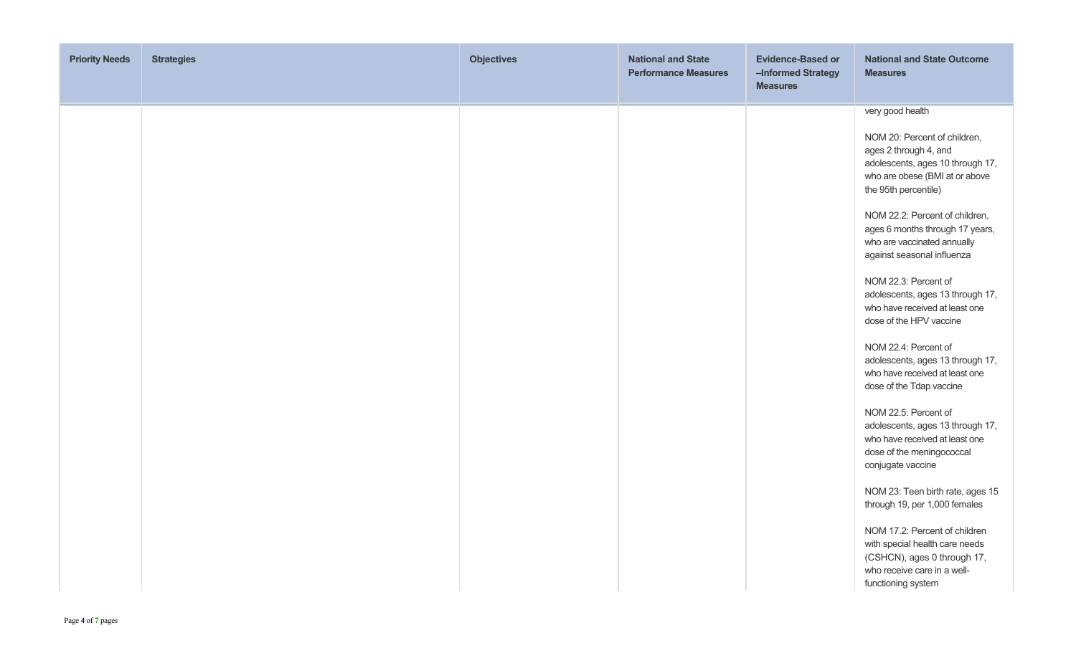| very good health                                                                                                                                                                                                                                                                                                                                                                                                                                                                                                                                                                                                                                                                                                                                                                                                                                                                                                     |
|----------------------------------------------------------------------------------------------------------------------------------------------------------------------------------------------------------------------------------------------------------------------------------------------------------------------------------------------------------------------------------------------------------------------------------------------------------------------------------------------------------------------------------------------------------------------------------------------------------------------------------------------------------------------------------------------------------------------------------------------------------------------------------------------------------------------------------------------------------------------------------------------------------------------|
| NOM 20: Percent of children,<br>ages 2 through 4, and<br>adolescents, ages 10 through 17,<br>who are obese (BMI at or above<br>the 95th percentile)<br>NOM 22.2: Percent of children,<br>ages 6 months through 17 years,<br>who are vaccinated annually<br>against seasonal influenza<br>NOM 22.3: Percent of<br>adolescents, ages 13 through 17,<br>who have received at least one<br>dose of the HPV vaccine<br>NOM 22.4: Percent of<br>adolescents, ages 13 through 17,<br>who have received at least one<br>dose of the Tdap vaccine<br>NOM 22.5: Percent of<br>adolescents, ages 13 through 17,<br>who have received at least one<br>dose of the meningococcal<br>conjugate vaccine<br>NOM 23: Teen birth rate, ages 15<br>through 19, per 1,000 females<br>NOM 17.2: Percent of children<br>with special health care needs<br>(CSHCN), ages 0 through 17,<br>who receive care in a well-<br>functioning system |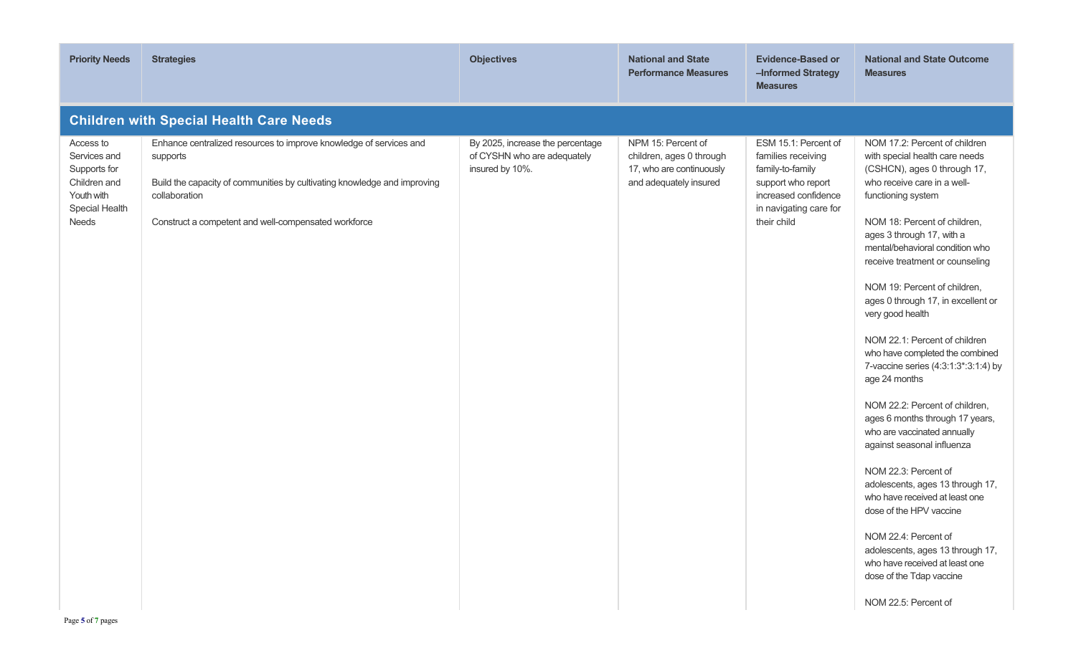| <b>Priority Needs</b>                                                                              | <b>Strategies</b>                                                                                                                                                                                                                   | <b>Objectives</b>                                                                  | <b>National and State</b><br><b>Performance Measures</b>                                             | <b>Evidence-Based or</b><br>-Informed Strategy<br><b>Measures</b>                                                                                     | <b>National and State Outcome</b><br><b>Measures</b>                                                                                                                                                                                                                                                                                                                                                                                                                                                                                                                                                                                                                                                                                                                                                                                                                                                                       |  |  |
|----------------------------------------------------------------------------------------------------|-------------------------------------------------------------------------------------------------------------------------------------------------------------------------------------------------------------------------------------|------------------------------------------------------------------------------------|------------------------------------------------------------------------------------------------------|-------------------------------------------------------------------------------------------------------------------------------------------------------|----------------------------------------------------------------------------------------------------------------------------------------------------------------------------------------------------------------------------------------------------------------------------------------------------------------------------------------------------------------------------------------------------------------------------------------------------------------------------------------------------------------------------------------------------------------------------------------------------------------------------------------------------------------------------------------------------------------------------------------------------------------------------------------------------------------------------------------------------------------------------------------------------------------------------|--|--|
| <b>Children with Special Health Care Needs</b>                                                     |                                                                                                                                                                                                                                     |                                                                                    |                                                                                                      |                                                                                                                                                       |                                                                                                                                                                                                                                                                                                                                                                                                                                                                                                                                                                                                                                                                                                                                                                                                                                                                                                                            |  |  |
| Access to<br>Services and<br>Supports for<br>Children and<br>Youth with<br>Special Health<br>Needs | Enhance centralized resources to improve knowledge of services and<br>supports<br>Build the capacity of communities by cultivating knowledge and improving<br>collaboration<br>Construct a competent and well-compensated workforce | By 2025, increase the percentage<br>of CYSHN who are adequately<br>insured by 10%. | NPM 15: Percent of<br>children, ages 0 through<br>17, who are continuously<br>and adequately insured | ESM 15.1: Percent of<br>families receiving<br>family-to-family<br>support who report<br>increased confidence<br>in navigating care for<br>their child | NOM 17.2: Percent of children<br>with special health care needs<br>(CSHCN), ages 0 through 17,<br>who receive care in a well-<br>functioning system<br>NOM 18: Percent of children,<br>ages 3 through 17, with a<br>mental/behavioral condition who<br>receive treatment or counseling<br>NOM 19: Percent of children,<br>ages 0 through 17, in excellent or<br>very good health<br>NOM 22.1: Percent of children<br>who have completed the combined<br>7-vaccine series (4:3:1:3*:3:1:4) by<br>age 24 months<br>NOM 22.2: Percent of children,<br>ages 6 months through 17 years,<br>who are vaccinated annually<br>against seasonal influenza<br>NOM 22.3: Percent of<br>adolescents, ages 13 through 17,<br>who have received at least one<br>dose of the HPV vaccine<br>NOM 22.4: Percent of<br>adolescents, ages 13 through 17,<br>who have received at least one<br>dose of the Tdap vaccine<br>NOM 22.5: Percent of |  |  |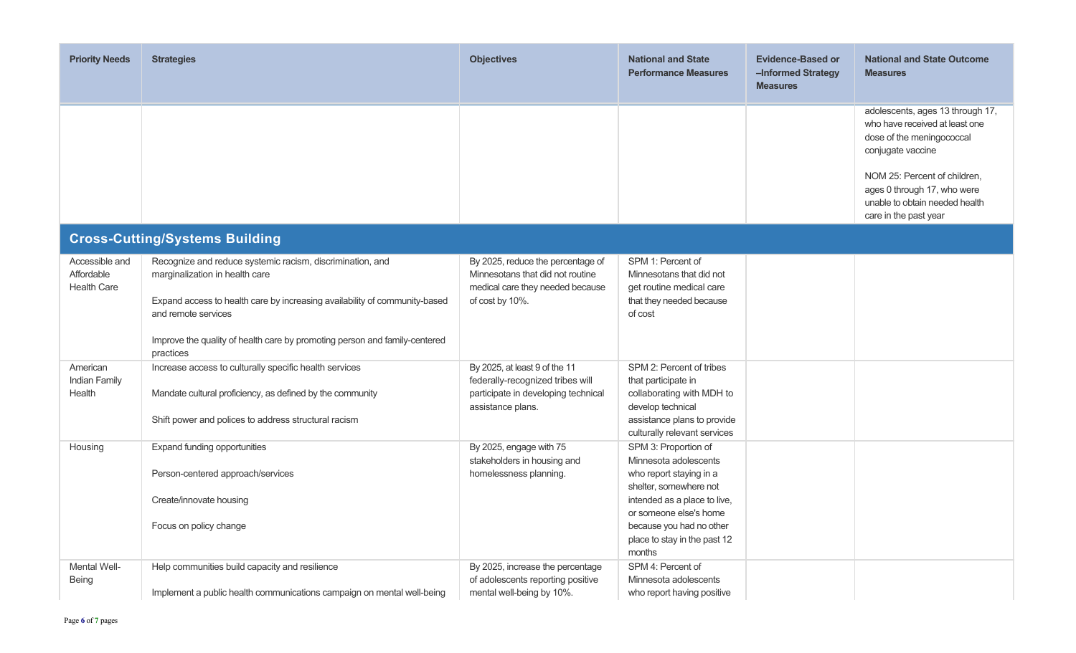| <b>Priority Needs</b>                              | <b>Strategies</b>                                                                                                                                                                                                                                                              | <b>Objectives</b>                                                                                                             | <b>National and State</b><br><b>Performance Measures</b>                                                                                                                                                                           | <b>Evidence-Based or</b><br>-Informed Strategy<br><b>Measures</b> | <b>National and State Outcome</b><br><b>Measures</b>                                                                   |
|----------------------------------------------------|--------------------------------------------------------------------------------------------------------------------------------------------------------------------------------------------------------------------------------------------------------------------------------|-------------------------------------------------------------------------------------------------------------------------------|------------------------------------------------------------------------------------------------------------------------------------------------------------------------------------------------------------------------------------|-------------------------------------------------------------------|------------------------------------------------------------------------------------------------------------------------|
|                                                    |                                                                                                                                                                                                                                                                                |                                                                                                                               |                                                                                                                                                                                                                                    |                                                                   | adolescents, ages 13 through 17,<br>who have received at least one<br>dose of the meningococcal<br>conjugate vaccine   |
|                                                    |                                                                                                                                                                                                                                                                                |                                                                                                                               |                                                                                                                                                                                                                                    |                                                                   | NOM 25: Percent of children,<br>ages 0 through 17, who were<br>unable to obtain needed health<br>care in the past year |
|                                                    | <b>Cross-Cutting/Systems Building</b>                                                                                                                                                                                                                                          |                                                                                                                               |                                                                                                                                                                                                                                    |                                                                   |                                                                                                                        |
| Accessible and<br>Affordable<br><b>Health Care</b> | Recognize and reduce systemic racism, discrimination, and<br>marginalization in health care<br>Expand access to health care by increasing availability of community-based<br>and remote services<br>Improve the quality of health care by promoting person and family-centered | By 2025, reduce the percentage of<br>Minnesotans that did not routine<br>medical care they needed because<br>of cost by 10%.  | SPM 1: Percent of<br>Minnesotans that did not<br>get routine medical care<br>that they needed because<br>of cost                                                                                                                   |                                                                   |                                                                                                                        |
| American<br><b>Indian Family</b><br>Health         | practices<br>Increase access to culturally specific health services<br>Mandate cultural proficiency, as defined by the community<br>Shift power and polices to address structural racism                                                                                       | By 2025, at least 9 of the 11<br>federally-recognized tribes will<br>participate in developing technical<br>assistance plans. | SPM 2: Percent of tribes<br>that participate in<br>collaborating with MDH to<br>develop technical<br>assistance plans to provide<br>culturally relevant services                                                                   |                                                                   |                                                                                                                        |
| Housing                                            | Expand funding opportunities<br>Person-centered approach/services<br>Create/innovate housing<br>Focus on policy change                                                                                                                                                         | By 2025, engage with 75<br>stakeholders in housing and<br>homelessness planning.                                              | SPM 3: Proportion of<br>Minnesota adolescents<br>who report staying in a<br>shelter, somewhere not<br>intended as a place to live,<br>or someone else's home<br>because you had no other<br>place to stay in the past 12<br>months |                                                                   |                                                                                                                        |
| Mental Well-<br>Being                              | Help communities build capacity and resilience<br>Implement a public health communications campaign on mental well-being                                                                                                                                                       | By 2025, increase the percentage<br>of adolescents reporting positive<br>mental well-being by 10%.                            | SPM 4: Percent of<br>Minnesota adolescents<br>who report having positive                                                                                                                                                           |                                                                   |                                                                                                                        |